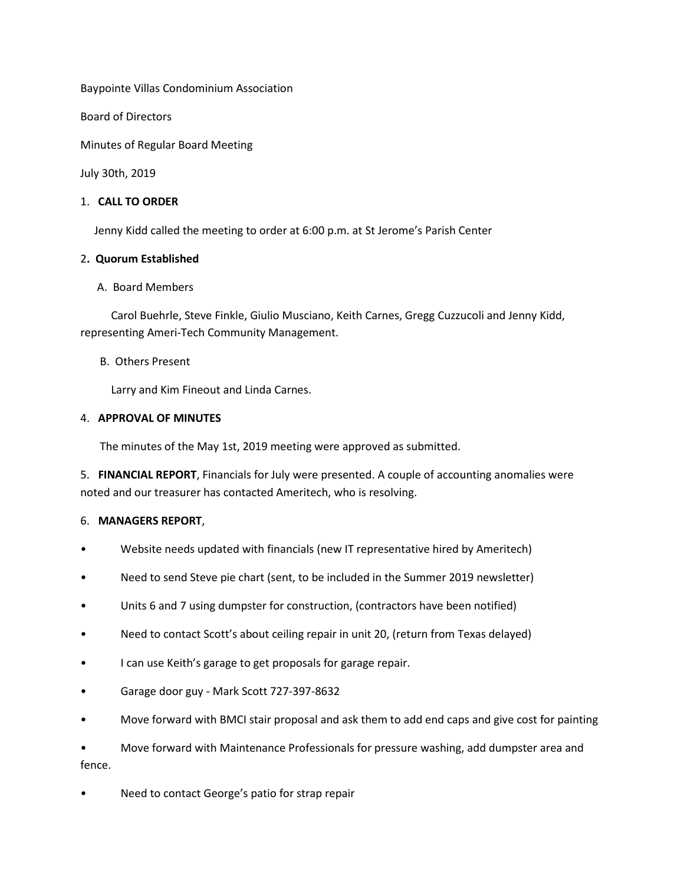Baypointe Villas Condominium Association

Board of Directors

Minutes of Regular Board Meeting

July 30th, 2019

### 1. **CALL TO ORDER**

Jenny Kidd called the meeting to order at 6:00 p.m. at St Jerome's Parish Center

#### 2**. Quorum Established**

#### A. Board Members

 Carol Buehrle, Steve Finkle, Giulio Musciano, Keith Carnes, Gregg Cuzzucoli and Jenny Kidd, representing Ameri-Tech Community Management.

#### B. Others Present

Larry and Kim Fineout and Linda Carnes.

#### 4. **APPROVAL OF MINUTES**

The minutes of the May 1st, 2019 meeting were approved as submitted.

5. **FINANCIAL REPORT**, Financials for July were presented. A couple of accounting anomalies were noted and our treasurer has contacted Ameritech, who is resolving.

# 6. **MANAGERS REPORT**,

- Website needs updated with financials (new IT representative hired by Ameritech)
- Need to send Steve pie chart (sent, to be included in the Summer 2019 newsletter)
- Units 6 and 7 using dumpster for construction, (contractors have been notified)
- Need to contact Scott's about ceiling repair in unit 20, (return from Texas delayed)
- I can use Keith's garage to get proposals for garage repair.
- Garage door guy Mark Scott 727-397-8632
- Move forward with BMCI stair proposal and ask them to add end caps and give cost for painting

• Move forward with Maintenance Professionals for pressure washing, add dumpster area and fence.

Need to contact George's patio for strap repair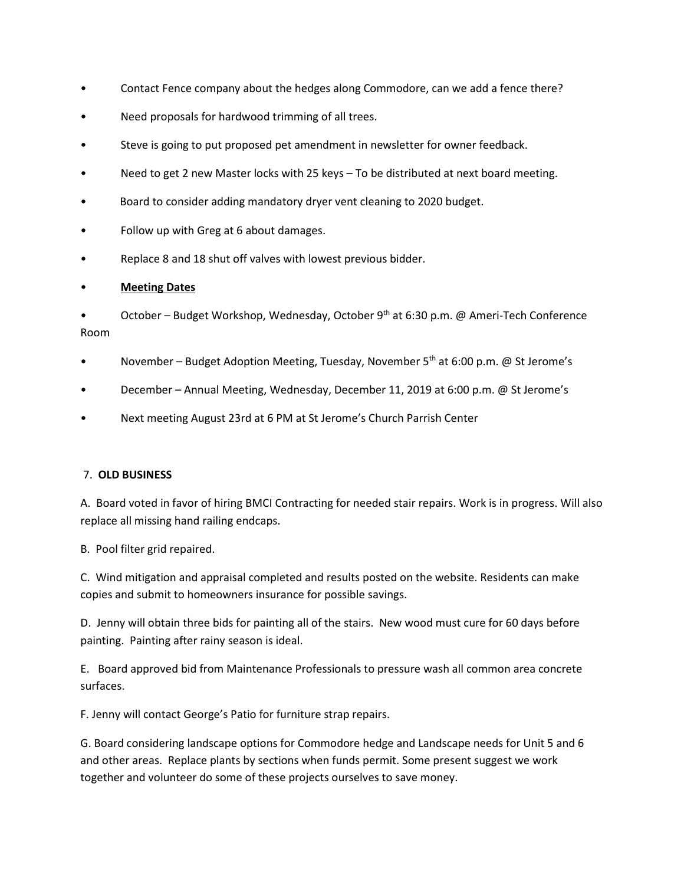- Contact Fence company about the hedges along Commodore, can we add a fence there?
- Need proposals for hardwood trimming of all trees.
- Steve is going to put proposed pet amendment in newsletter for owner feedback.
- Need to get 2 new Master locks with 25 keys To be distributed at next board meeting.
- Board to consider adding mandatory dryer vent cleaning to 2020 budget.
- Follow up with Greg at 6 about damages.
- Replace 8 and 18 shut off valves with lowest previous bidder.

# • **Meeting Dates**

• October – Budget Workshop, Wednesday, October 9th at 6:30 p.m. @ Ameri-Tech Conference Room

- November Budget Adoption Meeting, Tuesday, November 5<sup>th</sup> at 6:00 p.m. @ St Jerome's
- December Annual Meeting, Wednesday, December 11, 2019 at 6:00 p.m. @ St Jerome's
- Next meeting August 23rd at 6 PM at St Jerome's Church Parrish Center

# 7. **OLD BUSINESS**

A. Board voted in favor of hiring BMCI Contracting for needed stair repairs. Work is in progress. Will also replace all missing hand railing endcaps.

B. Pool filter grid repaired.

C. Wind mitigation and appraisal completed and results posted on the website. Residents can make copies and submit to homeowners insurance for possible savings.

D. Jenny will obtain three bids for painting all of the stairs. New wood must cure for 60 days before painting. Painting after rainy season is ideal.

E. Board approved bid from Maintenance Professionals to pressure wash all common area concrete surfaces.

F. Jenny will contact George's Patio for furniture strap repairs.

G. Board considering landscape options for Commodore hedge and Landscape needs for Unit 5 and 6 and other areas. Replace plants by sections when funds permit. Some present suggest we work together and volunteer do some of these projects ourselves to save money.